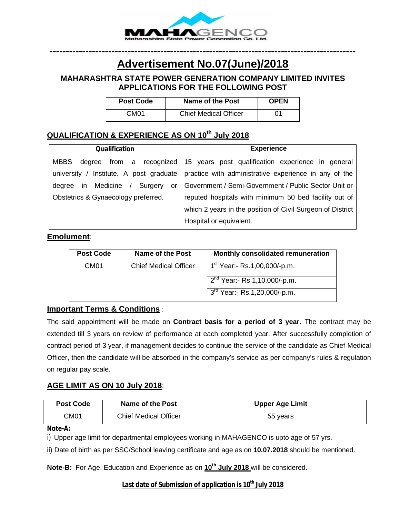

# **---------------------------------------------------------------------------------------------- Advertisement No.07(June)/2018**

# **MAHARASHTRA STATE POWER GENERATION COMPANY LIMITED INVITES APPLICATIONS FOR THE FOLLOWING POST**

| <b>Post Code</b> | Name of the Post             | <b>OPEN</b> |
|------------------|------------------------------|-------------|
| CM01             | <b>Chief Medical Officer</b> | 01          |

# **QUALIFICATION & EXPERIENCE AS ON 10th July 2018**:

| <b>Qualification</b>                                    | <b>Experience</b>                                                     |
|---------------------------------------------------------|-----------------------------------------------------------------------|
| <b>MBBS</b><br>degree                                   | from a recognized   15 years post qualification experience in general |
| Institute. A post graduate<br>university $/$            | practice with administrative experience in any of the                 |
| in Medicine<br>Surgery<br>dearee<br>or<br>$\frac{1}{2}$ | Government / Semi-Government / Public Sector Unit or                  |
| Obstetrics & Gynaecology preferred.                     | reputed hospitals with minimum 50 bed facility out of                 |
|                                                         | which 2 years in the position of Civil Surgeon of District            |
|                                                         | Hospital or equivalent.                                               |

#### **Emolument**:

| <b>Post Code</b> | <b>Name of the Post</b>      | Monthly consolidated remuneration        |
|------------------|------------------------------|------------------------------------------|
| CM <sub>01</sub> | <b>Chief Medical Officer</b> | 1 <sup>st</sup> Year:- Rs.1,00,000/-p.m. |
|                  |                              | $2nd$ Year:- Rs.1,10,000/-p.m.           |
|                  |                              | 3 <sup>rd</sup> Year:- Rs.1,20,000/-p.m. |

# **Important Terms & Conditions** :

The said appointment will be made on **Contract basis for a period of 3 year**. The contract may be extended till 3 years on review of performance at each completed year. After successfully completion of contract period of 3 year, if management decides to continue the service of the candidate as Chief Medical Officer, then the candidate will be absorbed in the company's service as per company's rules & regulation on regular pay scale.

## **AGE LIMIT AS ON 10 July 2018**:

| <b>Post Code</b> | Name of the Post             | <b>Upper Age Limit</b> |
|------------------|------------------------------|------------------------|
| CM01             | <b>Chief Medical Officer</b> | 55 years               |

#### **Note-A:**

i) Upper age limit for departmental employees working in MAHAGENCO is upto age of 57 yrs.

ii) Date of birth as per SSC/School leaving certificate and age as on **10.07.2018** should be mentioned.

**Note-B:** For Age, Education and Experience as on **10th July 2018** will be considered.

#### **Last date of Submission of application is 10th July 2018**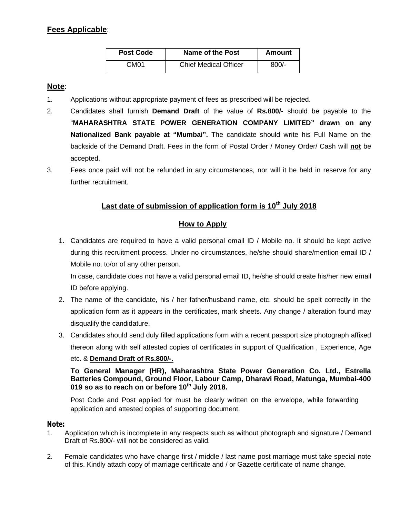# **Fees Applicable**:

| <b>Post Code</b> | Name of the Post             | Amount  |
|------------------|------------------------------|---------|
| CM <sub>01</sub> | <b>Chief Medical Officer</b> | $800/-$ |

### **Note**:

- 1. Applications without appropriate payment of fees as prescribed will be rejected.
- 2. Candidates shall furnish **Demand Draft** of the value of **Rs.800/-** should be payable to the "**MAHARASHTRA STATE POWER GENERATION COMPANY LIMITED" drawn on any Nationalized Bank payable at "Mumbai".** The candidate should write his Full Name on the backside of the Demand Draft. Fees in the form of Postal Order / Money Order/ Cash will **not** be accepted.
- 3. Fees once paid will not be refunded in any circumstances, nor will it be held in reserve for any further recruitment.

## **Last date of submission of application form is 10th July 2018**

#### **How to Apply**

1. Candidates are required to have a valid personal email ID / Mobile no. It should be kept active during this recruitment process. Under no circumstances, he/she should share/mention email ID / Mobile no. to/or of any other person.

In case, candidate does not have a valid personal email ID, he/she should create his/her new email ID before applying.

- 2. The name of the candidate, his / her father/husband name, etc. should be spelt correctly in the application form as it appears in the certificates, mark sheets. Any change / alteration found may disqualify the candidature.
- 3. Candidates should send duly filled applications form with a recent passport size photograph affixed thereon along with self attested copies of certificates in support of Qualification , Experience, Age

#### etc. & **Demand Draft of Rs.800/-.**

**To General Manager (HR), Maharashtra State Power Generation Co. Ltd., Estrella Batteries Compound, Ground Floor, Labour Camp, Dharavi Road, Matunga, Mumbai-400 019 so as to reach on or before 10 th July 2018.**

Post Code and Post applied for must be clearly written on the envelope, while forwarding application and attested copies of supporting document.

#### **Note:**

- 1. Application which is incomplete in any respects such as without photograph and signature / Demand Draft of Rs.800/- will not be considered as valid.
- 2. Female candidates who have change first / middle / last name post marriage must take special note of this. Kindly attach copy of marriage certificate and / or Gazette certificate of name change.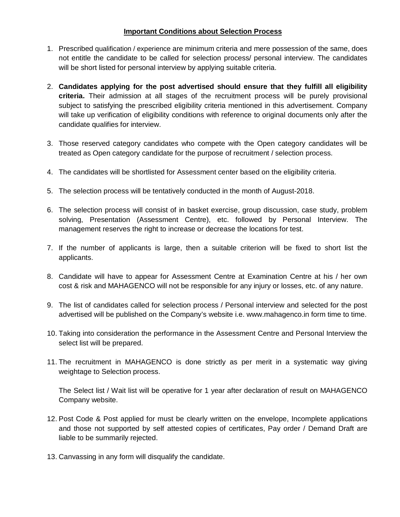#### **Important Conditions about Selection Process**

- 1. Prescribed qualification / experience are minimum criteria and mere possession of the same, does not entitle the candidate to be called for selection process/ personal interview. The candidates will be short listed for personal interview by applying suitable criteria.
- 2. **Candidates applying for the post advertised should ensure that they fulfill all eligibility criteria.** Their admission at all stages of the recruitment process will be purely provisional subject to satisfying the prescribed eligibility criteria mentioned in this advertisement. Company will take up verification of eligibility conditions with reference to original documents only after the candidate qualifies for interview.
- 3. Those reserved category candidates who compete with the Open category candidates will be treated as Open category candidate for the purpose of recruitment / selection process.
- 4. The candidates will be shortlisted for Assessment center based on the eligibility criteria.
- 5. The selection process will be tentatively conducted in the month of August-2018.
- 6. The selection process will consist of in basket exercise, group discussion, case study, problem solving, Presentation (Assessment Centre), etc. followed by Personal Interview. The management reserves the right to increase or decrease the locations for test.
- 7. If the number of applicants is large, then a suitable criterion will be fixed to short list the applicants.
- 8. Candidate will have to appear for Assessment Centre at Examination Centre at his / her own cost & risk and MAHAGENCO will not be responsible for any injury or losses, etc. of any nature.
- 9. The list of candidates called for selection process / Personal interview and selected for the post advertised will be published on the Company's website i.e. www.mahagenco.in form time to time.
- 10. Taking into consideration the performance in the Assessment Centre and Personal Interview the select list will be prepared.
- 11. The recruitment in MAHAGENCO is done strictly as per merit in a systematic way giving weightage to Selection process.

The Select list / Wait list will be operative for 1 year after declaration of result on MAHAGENCO Company website.

- 12. Post Code & Post applied for must be clearly written on the envelope, Incomplete applications and those not supported by self attested copies of certificates, Pay order / Demand Draft are liable to be summarily rejected.
- 13. Canvassing in any form will disqualify the candidate.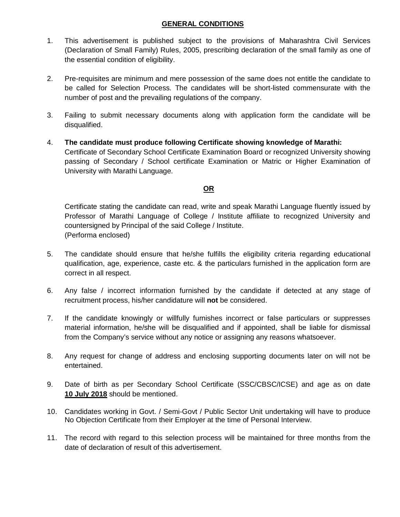#### **GENERAL CONDITIONS**

- 1. This advertisement is published subject to the provisions of Maharashtra Civil Services (Declaration of Small Family) Rules, 2005, prescribing declaration of the small family as one of the essential condition of eligibility.
- 2. Pre-requisites are minimum and mere possession of the same does not entitle the candidate to be called for Selection Process. The candidates will be short-listed commensurate with the number of post and the prevailing regulations of the company.
- 3. Failing to submit necessary documents along with application form the candidate will be disqualified.
- 4. **The candidate must produce following Certificate showing knowledge of Marathi:** Certificate of Secondary School Certificate Examination Board or recognized University showing passing of Secondary / School certificate Examination or Matric or Higher Examination of University with Marathi Language.

# **OR**

Certificate stating the candidate can read, write and speak Marathi Language fluently issued by Professor of Marathi Language of College / Institute affiliate to recognized University and countersigned by Principal of the said College / Institute. (Performa enclosed)

- 5. The candidate should ensure that he/she fulfills the eligibility criteria regarding educational qualification, age, experience, caste etc. & the particulars furnished in the application form are correct in all respect.
- 6. Any false / incorrect information furnished by the candidate if detected at any stage of recruitment process, his/her candidature will **not** be considered.
- 7. If the candidate knowingly or willfully furnishes incorrect or false particulars or suppresses material information, he/she will be disqualified and if appointed, shall be liable for dismissal from the Company's service without any notice or assigning any reasons whatsoever.
- 8. Any request for change of address and enclosing supporting documents later on will not be entertained.
- 9. Date of birth as per Secondary School Certificate (SSC/CBSC/ICSE) and age as on date **10 July 2018** should be mentioned.
- 10. Candidates working in Govt. / Semi-Govt / Public Sector Unit undertaking will have to produce No Objection Certificate from their Employer at the time of Personal Interview.
- 11. The record with regard to this selection process will be maintained for three months from the date of declaration of result of this advertisement.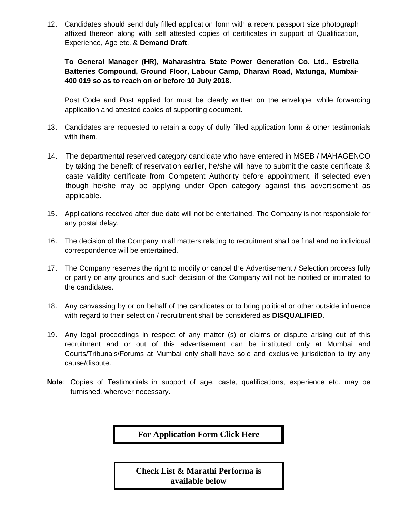12. Candidates should send duly filled application form with a recent passport size photograph affixed thereon along with self attested copies of certificates in support of Qualification, Experience, Age etc. & **Demand Draft**.

## **To General Manager (HR), Maharashtra State Power Generation Co. Ltd., Estrella Batteries Compound, Ground Floor, Labour Camp, Dharavi Road, Matunga, Mumbai-400 019 so as to reach on or before 10 July 2018.**

Post Code and Post applied for must be clearly written on the envelope, while forwarding application and attested copies of supporting document.

- 13. Candidates are requested to retain a copy of dully filled application form & other testimonials with them.
- 14. The departmental reserved category candidate who have entered in MSEB / MAHAGENCO by taking the benefit of reservation earlier, he/she will have to submit the caste certificate & caste validity certificate from Competent Authority before appointment, if selected even though he/she may be applying under Open category against this advertisement as applicable.
- 15. Applications received after due date will not be entertained. The Company is not responsible for any postal delay.
- 16. The decision of the Company in all matters relating to recruitment shall be final and no individual correspondence will be entertained.
- 17. The Company reserves the right to modify or cancel the Advertisement / Selection process fully or partly on any grounds and such decision of the Company will not be notified or intimated to the candidates.
- 18. Any canvassing by or on behalf of the candidates or to bring political or other outside influence with regard to their selection / recruitment shall be considered as **DISQUALIFIED**.
- 19. Any legal proceedings in respect of any matter (s) or claims or dispute arising out of this recruitment and or out of this advertisement can be instituted only at Mumbai and Courts/Tribunals/Forums at Mumbai only shall have sole and exclusive jurisdiction to try any cause/dispute.
- **Note**: Copies of Testimonials in support of age, caste, qualifications, experience etc. may be furnished, wherever necessary.

**[For Application Form Click Here](https://mahagenco.in/phocadownload/career/2018/May/Application Form-Chief Medical Officer.pdf)** 

**Check List & Marathi Performa is available below**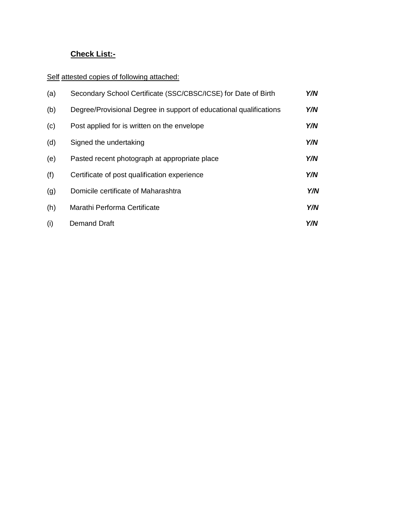# **Check List:-**

Self attested copies of following attached:

| (a) | Secondary School Certificate (SSC/CBSC/ICSE) for Date of Birth     | Y/N |
|-----|--------------------------------------------------------------------|-----|
| (b) | Degree/Provisional Degree in support of educational qualifications | Y/N |
| (c) | Post applied for is written on the envelope                        | Y/N |
| (d) | Signed the undertaking                                             | Y/N |
| (e) | Pasted recent photograph at appropriate place                      | Y/N |
| (f) | Certificate of post qualification experience                       | Y/N |
| (g) | Domicile certificate of Maharashtra                                | Y/N |
| (h) | Marathi Performa Certificate                                       | Y/N |
| (i) | Demand Draft                                                       | Y/N |